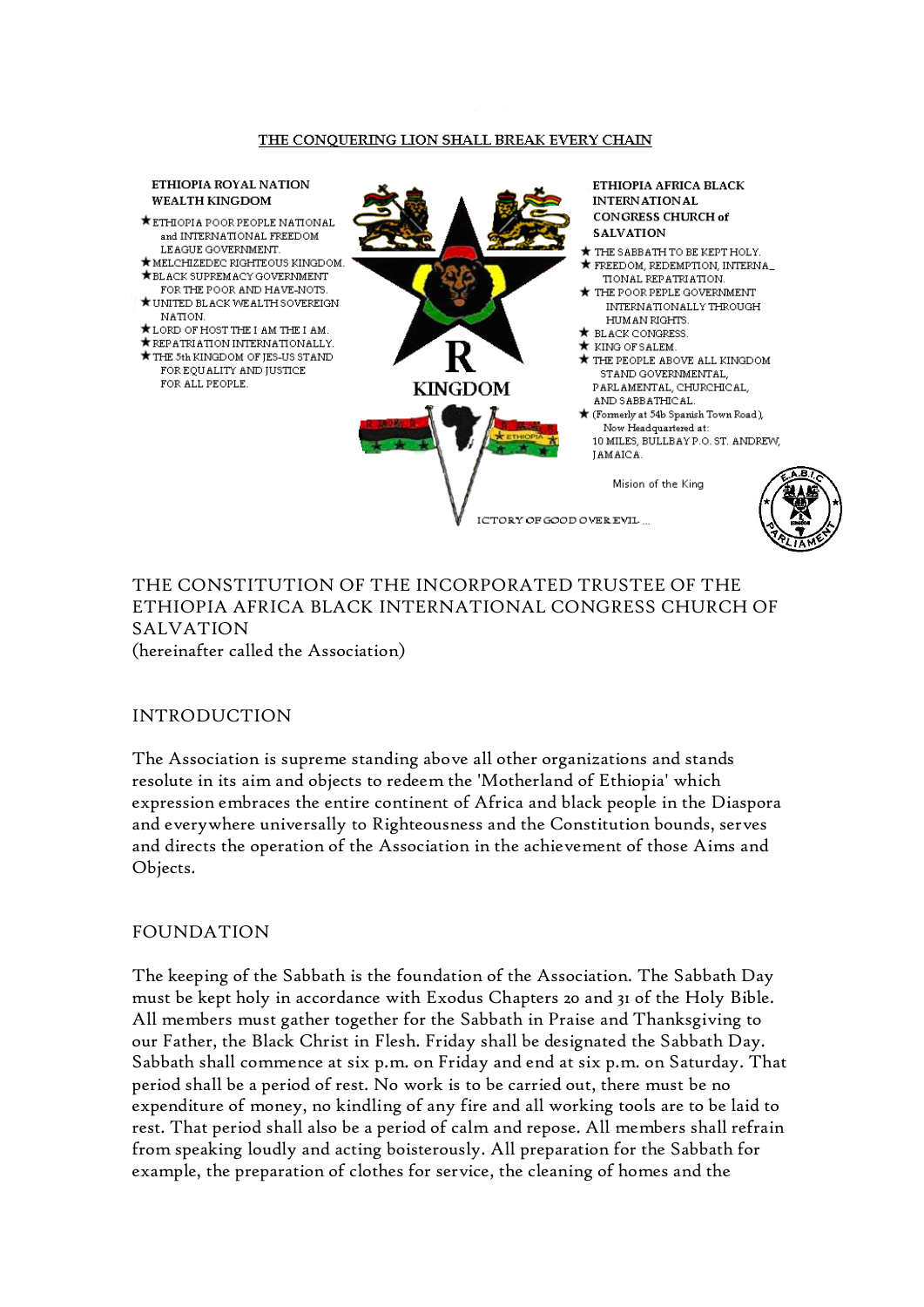#### THE CONQUERING LION SHALL BREAK EVERY CHAIN

#### ETHIOPIA ROYAL NATION **WEALTH KINGDOM**

- ★ ETHIOPIA POOR PEOPLE NATIONAL and INTERNATIONAL FREEDOM LEAGUE GOVERNMENT.
- $\bigstar$  MELCHIZEDEC RIGHTEOUS KINGDOM.  $\bigstar$  BL ACK SHPREM ACY GOVERNMENT
- FOR THE POOR AND HAVE NOTS. ★ UNITED BLACK WEALTH SOVEREIGN
- NATION.
- \*LORD OF HOST THE I AM THE I AM.
- \* REPATRIATION INTERNATIONALLY. THE 5th KINGDOM OF JES-US STAND FOR EQUALITY AND IUSTICE FOR ALL PEOPLE.



ICTORY OF GOOD OVER EVIL



# THE CONSTITUTION OF THE INCORPORATED TRUSTEE OF THE ETHIOPIA AFRICA BLACK INTERNATIONAL CONGRESS CHURCH OF SALVATION (hereinafter called the Association)

#### INTRODUCTION

The Association is supreme standing above all other organizations and stands resolute in its aim and objects to redeem the 'Motherland of Ethiopia' which expression embraces the entire continent of Africa and black people in the Diaspora and everywhere universally to Righteousness and the Constitution bounds, serves and directs the operation of the Association in the achievement of those Aims and Objects.

#### FOUNDATION

The keeping of the Sabbath is the foundation of the Association. The Sabbath Day must be kept holy in accordance with Exodus Chapters 20 and 31 of the Holy Bible. All members must gather together for the Sabbath in Praise and Thanksgiving to our Father, the Black Christ in Flesh. Friday shall be designated the Sabbath Day. Sabbath shall commence at six p.m. on Friday and end at six p.m. on Saturday. That period shall be a period of rest. No work is to be carried out, there must be no expenditure of money, no kindling of any fire and all working tools are to be laid to rest. That period shall also be a period of calm and repose. All members shall refrain from speaking loudly and acting boisterously. All preparation for the Sabbath for example, the preparation of clothes for service, the cleaning of homes and the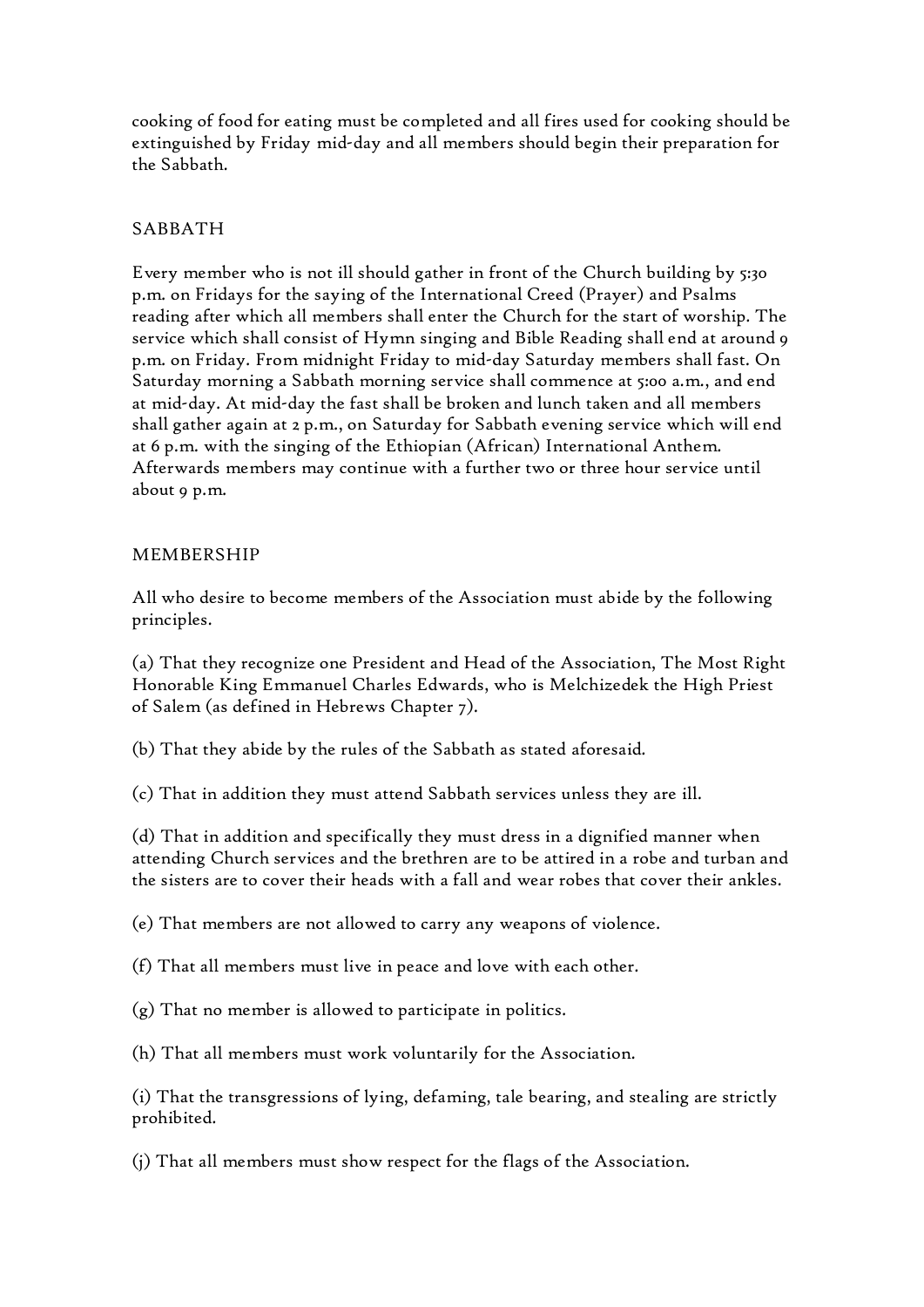cooking of food for eating must be completed and all fires used for cooking should be extinguished by Friday mid-day and all members should begin their preparation for the Sabbath.

# SABBATH

Every member who is not ill should gather in front of the Church building by 5:30 p.m. on Fridays for the saying of the International Creed (Prayer) and Psalms reading after which all members shall enter the Church for the start of worship. The service which shall consist of Hymn singing and Bible Reading shall end at around 9 p.m. on Friday. From midnight Friday to mid-day Saturday members shall fast. On Saturday morning a Sabbath morning service shall commence at 5:00 a.m., and end at mid-day. At mid-day the fast shall be broken and lunch taken and all members shall gather again at 2 p.m., on Saturday for Sabbath evening service which will end at 6 p.m. with the singing of the Ethiopian (African) International Anthem. Afterwards members may continue with a further two or three hour service until about 9 p.m.

## MEMBERSHIP

All who desire to become members of the Association must abide by the following principles.

(a) That they recognize one President and Head of the Association, The Most Right Honorable King Emmanuel Charles Edwards, who is Melchizedek the High Priest of Salem (as defined in Hebrews Chapter 7).

(b) That they abide by the rules of the Sabbath as stated aforesaid.

(c) That in addition they must attend Sabbath services unless they are ill.

(d) That in addition and specifically they must dress in a dignified manner when attending Church services and the brethren are to be attired in a robe and turban and the sisters are to cover their heads with a fall and wear robes that cover their ankles.

(e) That members are not allowed to carry any weapons of violence.

(f) That all members must live in peace and love with each other.

(g) That no member is allowed to participate in politics.

(h) That all members must work voluntarily for the Association.

(i) That the transgressions of lying, defaming, tale bearing, and stealing are strictly prohibited.

(j) That all members must show respect for the flags of the Association.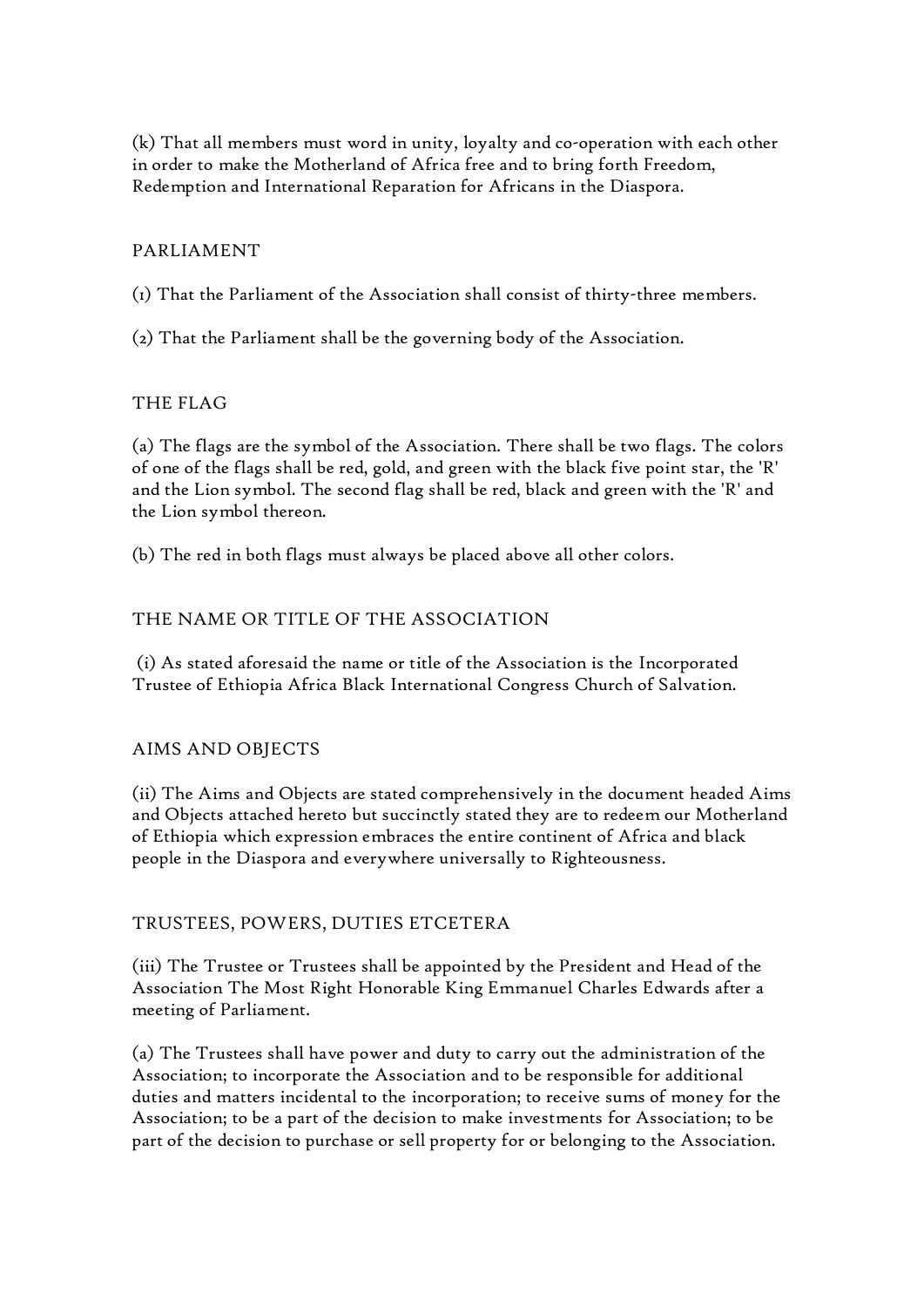(k) That all members must word in unity, loyalty and co-operation with each other in order to make the Motherland of Africa free and to bring forth Freedom, Redemption and International Reparation for Africans in the Diaspora.

# PARLIAMENT

(1) That the Parliament of the Association shall consist of thirty-three members.

(2) That the Parliament shall be the governing body of the Association.

# THE FLAG

(a) The flags are the symbol of the Association. There shall be two flags. The colors of one of the flags shall be red, gold, and green with the black five point star, the 'R' and the Lion symbol. The second flag shall be red, black and green with the 'R' and the Lion symbol thereon.

(b) The red in both flags must always be placed above all other colors.

# THE NAME OR TITLE OF THE ASSOCIATION

(i) As stated aforesaid the name or title of the Association is the Incorporated Trustee of Ethiopia Africa Black International Congress Church of Salvation.

## AIMS AND OBJECTS

(ii) The Aims and Objects are stated comprehensively in the document headed Aims and Objects attached hereto but succinctly stated they are to redeem our Motherland of Ethiopia which expression embraces the entire continent of Africa and black people in the Diaspora and everywhere universally to Righteousness.

## TRUSTEES, POWERS, DUTIES ETCETERA

(iii) The Trustee or Trustees shall be appointed by the President and Head of the Association The Most Right Honorable King Emmanuel Charles Edwards after a meeting of Parliament.

(a) The Trustees shall have power and duty to carry out the administration of the Association; to incorporate the Association and to be responsible for additional duties and matters incidental to the incorporation; to receive sums of money for the Association; to be a part of the decision to make investments for Association; to be part of the decision to purchase or sell property for or belonging to the Association.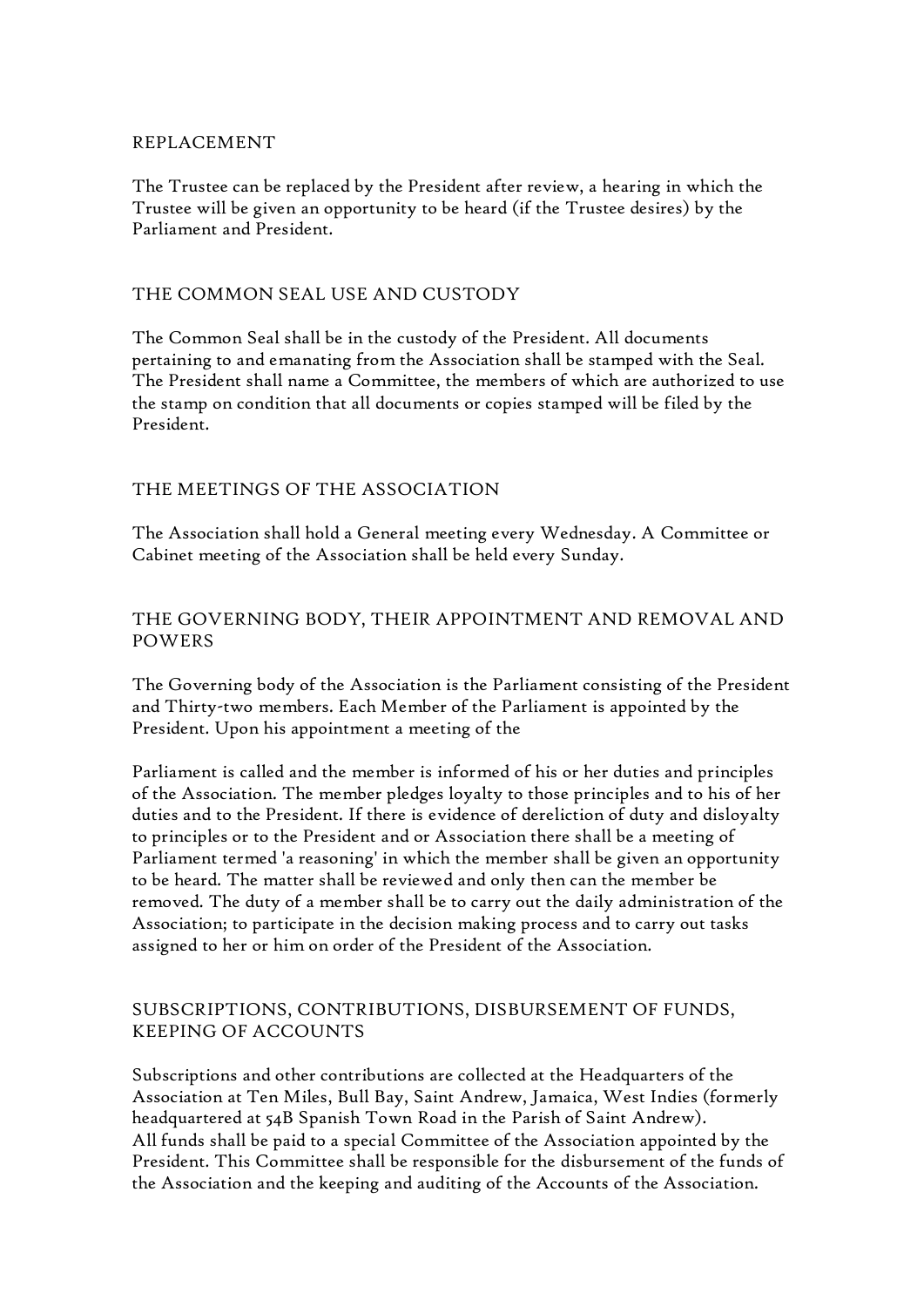## REPLACEMENT

The Trustee can be replaced by the President after review, a hearing in which the Trustee will be given an opportunity to be heard (if the Trustee desires) by the Parliament and President.

## THE COMMON SEAL USE AND CUSTODY

The Common Seal shall be in the custody of the President. All documents pertaining to and emanating from the Association shall be stamped with the Seal. The President shall name a Committee, the members of which are authorized to use the stamp on condition that all documents or copies stamped will be filed by the President.

#### THE MEETINGS OF THE ASSOCIATION

The Association shall hold a General meeting every Wednesday. A Committee or Cabinet meeting of the Association shall be held every Sunday.

# THE GOVERNING BODY, THEIR APPOINTMENT AND REMOVAL AND POWERS

The Governing body of the Association is the Parliament consisting of the President and Thirty-two members. Each Member of the Parliament is appointed by the President. Upon his appointment a meeting of the

Parliament is called and the member is informed of his or her duties and principles of the Association. The member pledges loyalty to those principles and to his of her duties and to the President. If there is evidence of dereliction of duty and disloyalty to principles or to the President and or Association there shall be a meeting of Parliament termed 'a reasoning' in which the member shall be given an opportunity to be heard. The matter shall be reviewed and only then can the member be removed. The duty of a member shall be to carry out the daily administration of the Association; to participate in the decision making process and to carry out tasks assigned to her or him on order of the President of the Association.

# SUBSCRIPTIONS, CONTRIBUTIONS, DISBURSEMENT OF FUNDS, KEEPING OF ACCOUNTS

Subscriptions and other contributions are collected at the Headquarters of the Association at Ten Miles, Bull Bay, Saint Andrew, Jamaica, West Indies (formerly headquartered at 54B Spanish Town Road in the Parish of Saint Andrew). All funds shall be paid to a special Committee of the Association appointed by the President. This Committee shall be responsible for the disbursement of the funds of the Association and the keeping and auditing of the Accounts of the Association.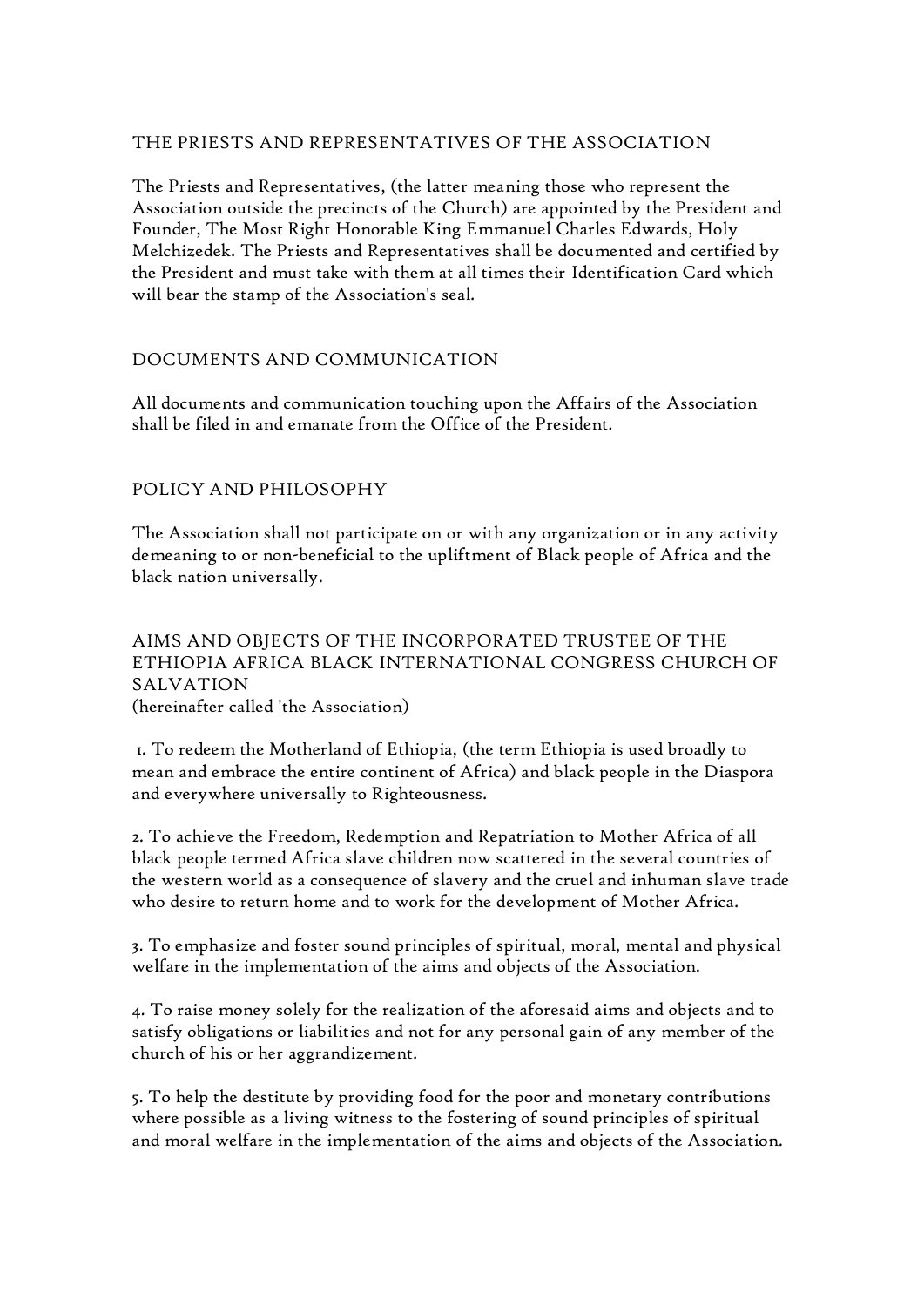# THE PRIESTS AND REPRESENTATIVES OF THE ASSOCIATION

The Priests and Representatives, (the latter meaning those who represent the Association outside the precincts of the Church) are appointed by the President and Founder, The Most Right Honorable King Emmanuel Charles Edwards, Holy Melchizedek. The Priests and Representatives shall be documented and certified by the President and must take with them at all times their Identification Card which will bear the stamp of the Association's seal.

# DOCUMENTS AND COMMUNICATION

All documents and communication touching upon the Affairs of the Association shall be filed in and emanate from the Office of the President.

# POLICY AND PHILOSOPHY

The Association shall not participate on or with any organization or in any activity demeaning to or non-beneficial to the upliftment of Black people of Africa and the black nation universally.

## AIMS AND OBJECTS OF THE INCORPORATED TRUSTEE OF THE ETHIOPIA AFRICA BLACK INTERNATIONAL CONGRESS CHURCH OF SALVATION (hereinafter called 'the Association)

1. To redeem the Motherland of Ethiopia, (the term Ethiopia is used broadly to mean and embrace the entire continent of Africa) and black people in the Diaspora and everywhere universally to Righteousness.

2. To achieve the Freedom, Redemption and Repatriation to Mother Africa of all black people termed Africa slave children now scattered in the several countries of the western world as a consequence of slavery and the cruel and inhuman slave trade who desire to return home and to work for the development of Mother Africa.

3. To emphasize and foster sound principles of spiritual, moral, mental and physical welfare in the implementation of the aims and objects of the Association.

4. To raise money solely for the realization of the aforesaid aims and objects and to satisfy obligations or liabilities and not for any personal gain of any member of the church of his or her aggrandizement.

5. To help the destitute by providing food for the poor and monetary contributions where possible as a living witness to the fostering of sound principles of spiritual and moral welfare in the implementation of the aims and objects of the Association.